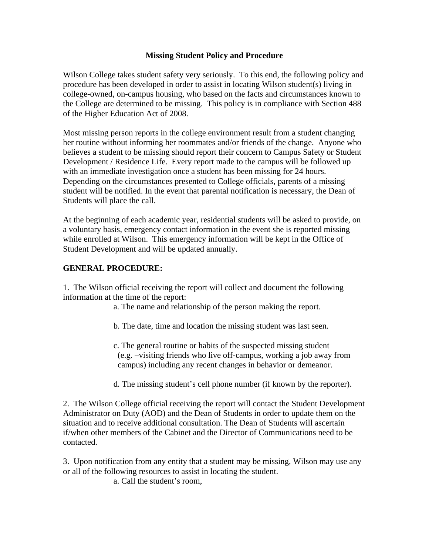## **Missing Student Policy and Procedure**

Wilson College takes student safety very seriously. To this end, the following policy and procedure has been developed in order to assist in locating Wilson student(s) living in college-owned, on-campus housing, who based on the facts and circumstances known to the College are determined to be missing. This policy is in compliance with Section 488 of the Higher Education Act of 2008.

Most missing person reports in the college environment result from a student changing her routine without informing her roommates and/or friends of the change. Anyone who believes a student to be missing should report their concern to Campus Safety or Student Development / Residence Life. Every report made to the campus will be followed up with an immediate investigation once a student has been missing for 24 hours. Depending on the circumstances presented to College officials, parents of a missing student will be notified. In the event that parental notification is necessary, the Dean of Students will place the call.

At the beginning of each academic year, residential students will be asked to provide, on a voluntary basis, emergency contact information in the event she is reported missing while enrolled at Wilson. This emergency information will be kept in the Office of Student Development and will be updated annually.

## **GENERAL PROCEDURE:**

1. The Wilson official receiving the report will collect and document the following information at the time of the report:

a. The name and relationship of the person making the report.

b. The date, time and location the missing student was last seen.

 c. The general routine or habits of the suspected missing student (e.g. –visiting friends who live off-campus, working a job away from campus) including any recent changes in behavior or demeanor.

d. The missing student's cell phone number (if known by the reporter).

2. The Wilson College official receiving the report will contact the Student Development Administrator on Duty (AOD) and the Dean of Students in order to update them on the situation and to receive additional consultation. The Dean of Students will ascertain if/when other members of the Cabinet and the Director of Communications need to be contacted.

3. Upon notification from any entity that a student may be missing, Wilson may use any or all of the following resources to assist in locating the student.

a. Call the student's room,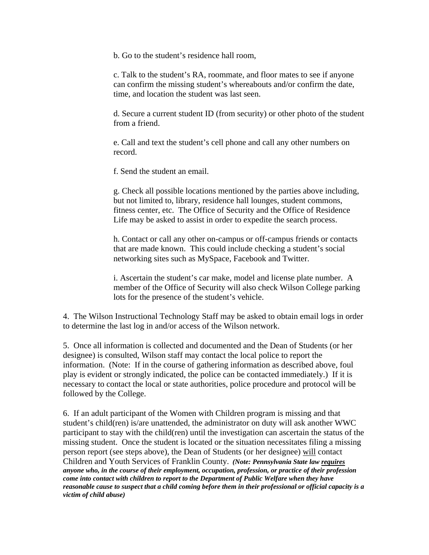b. Go to the student's residence hall room,

c. Talk to the student's RA, roommate, and floor mates to see if anyone can confirm the missing student's whereabouts and/or confirm the date, time, and location the student was last seen.

d. Secure a current student ID (from security) or other photo of the student from a friend.

e. Call and text the student's cell phone and call any other numbers on record.

f. Send the student an email.

g. Check all possible locations mentioned by the parties above including, but not limited to, library, residence hall lounges, student commons, fitness center, etc. The Office of Security and the Office of Residence Life may be asked to assist in order to expedite the search process.

h. Contact or call any other on-campus or off-campus friends or contacts that are made known. This could include checking a student's social networking sites such as MySpace, Facebook and Twitter.

i. Ascertain the student's car make, model and license plate number. A member of the Office of Security will also check Wilson College parking lots for the presence of the student's vehicle.

4. The Wilson Instructional Technology Staff may be asked to obtain email logs in order to determine the last log in and/or access of the Wilson network.

5. Once all information is collected and documented and the Dean of Students (or her designee) is consulted, Wilson staff may contact the local police to report the information. (Note: If in the course of gathering information as described above, foul play is evident or strongly indicated, the police can be contacted immediately.) If it is necessary to contact the local or state authorities, police procedure and protocol will be followed by the College.

6. If an adult participant of the Women with Children program is missing and that student's child(ren) is/are unattended, the administrator on duty will ask another WWC participant to stay with the child(ren) until the investigation can ascertain the status of the missing student. Once the student is located or the situation necessitates filing a missing person report (see steps above), the Dean of Students (or her designee) will contact Children and Youth Services of Franklin County. *(Note: Pennsylvania State law requires anyone who, in the course of their employment, occupation, profession, or practice of their profession come into contact with children to report to the Department of Public Welfare when they have reasonable cause to suspect that a child coming before them in their professional or official capacity is a victim of child abuse)*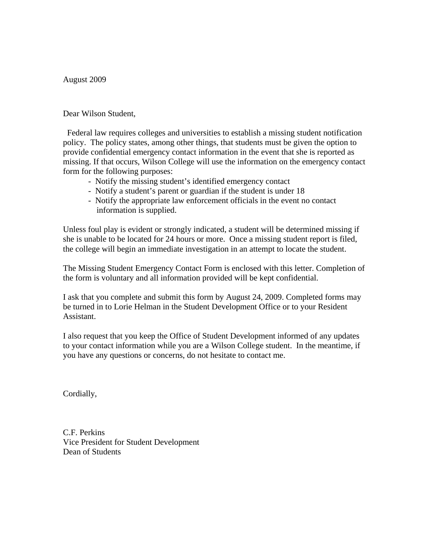August 2009

## Dear Wilson Student,

 Federal law requires colleges and universities to establish a missing student notification policy. The policy states, among other things, that students must be given the option to provide confidential emergency contact information in the event that she is reported as missing. If that occurs, Wilson College will use the information on the emergency contact form for the following purposes:

- Notify the missing student's identified emergency contact
- Notify a student's parent or guardian if the student is under 18
- Notify the appropriate law enforcement officials in the event no contact information is supplied.

Unless foul play is evident or strongly indicated, a student will be determined missing if she is unable to be located for 24 hours or more. Once a missing student report is filed, the college will begin an immediate investigation in an attempt to locate the student.

The Missing Student Emergency Contact Form is enclosed with this letter. Completion of the form is voluntary and all information provided will be kept confidential.

I ask that you complete and submit this form by August 24, 2009. Completed forms may be turned in to Lorie Helman in the Student Development Office or to your Resident Assistant.

I also request that you keep the Office of Student Development informed of any updates to your contact information while you are a Wilson College student. In the meantime, if you have any questions or concerns, do not hesitate to contact me.

Cordially,

C.F. Perkins Vice President for Student Development Dean of Students